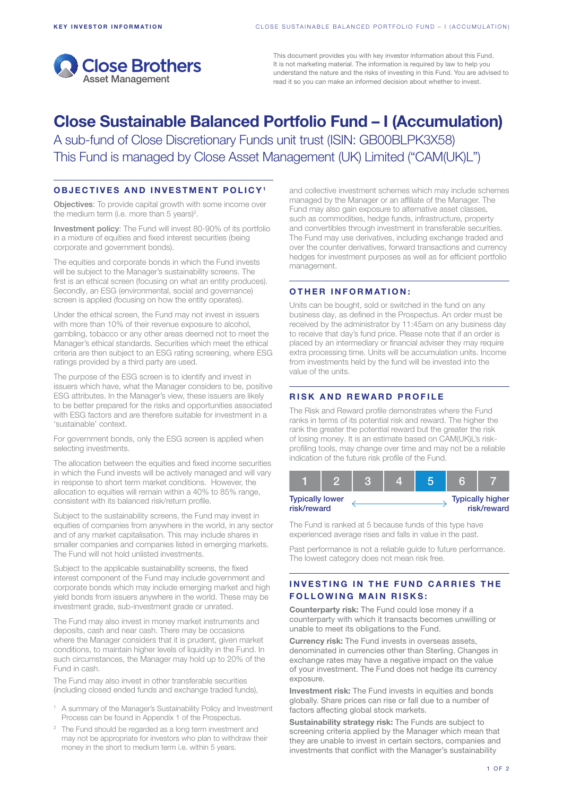

This document provides you with key investor information about this Fund. It is not marketing material. The information is required by law to help you understand the nature and the risks of investing in this Fund. You are advised to read it so you can make an informed decision about whether to invest.

# Close Sustainable Balanced Portfolio Fund – I (Accumulation)

A sub-fund of Close Discretionary Funds unit trust (ISIN: GB00BLPK3X58) This Fund is managed by Close Asset Management (UK) Limited ("CAM(UK)L")

### OBJECTIVES AND INVESTMENT POLICY1

Objectives: To provide capital growth with some income over the medium term (i.e. more than 5 years)<sup>2</sup>.

Investment policy: The Fund will invest 80-90% of its portfolio in a mixture of equities and fixed interest securities (being corporate and government bonds).

The equities and corporate bonds in which the Fund invests will be subject to the Manager's sustainability screens. The first is an ethical screen (focusing on what an entity produces). Secondly, an ESG (environmental, social and governance) screen is applied (focusing on how the entity operates).

Under the ethical screen, the Fund may not invest in issuers with more than 10% of their revenue exposure to alcohol, gambling, tobacco or any other areas deemed not to meet the Manager's ethical standards. Securities which meet the ethical criteria are then subject to an ESG rating screening, where ESG ratings provided by a third party are used.

The purpose of the ESG screen is to identify and invest in issuers which have, what the Manager considers to be, positive ESG attributes. In the Manager's view, these issuers are likely to be better prepared for the risks and opportunities associated with ESG factors and are therefore suitable for investment in a 'sustainable' context.

For government bonds, only the ESG screen is applied when selecting investments.

The allocation between the equities and fixed income securities in which the Fund invests will be actively managed and will vary in response to short term market conditions. However, the allocation to equities will remain within a 40% to 85% range, consistent with its balanced risk/return profile.

Subject to the sustainability screens, the Fund may invest in equities of companies from anywhere in the world, in any sector and of any market capitalisation. This may include shares in smaller companies and companies listed in emerging markets. The Fund will not hold unlisted investments.

Subject to the applicable sustainability screens, the fixed interest component of the Fund may include government and corporate bonds which may include emerging market and high yield bonds from issuers anywhere in the world. These may be investment grade, sub-investment grade or unrated.

The Fund may also invest in money market instruments and deposits, cash and near cash. There may be occasions where the Manager considers that it is prudent, given market conditions, to maintain higher levels of liquidity in the Fund. In such circumstances, the Manager may hold up to 20% of the Fund in cash.

The Fund may also invest in other transferable securities (including closed ended funds and exchange traded funds),

- <sup>1</sup> A summary of the Manager's Sustainability Policy and Investment Process can be found in Appendix 1 of the Prospectus.
- <sup>2</sup> The Fund should be regarded as a long term investment and may not be appropriate for investors who plan to withdraw their money in the short to medium term i.e. within 5 years.

and collective investment schemes which may include schemes managed by the Manager or an affiliate of the Manager. The Fund may also gain exposure to alternative asset classes, such as commodities, hedge funds, infrastructure, property and convertibles through investment in transferable securities. The Fund may use derivatives, including exchange traded and over the counter derivatives, forward transactions and currency hedges for investment purposes as well as for efficient portfolio management.

## OTHER INFORMATION:

Units can be bought, sold or switched in the fund on any business day, as defined in the Prospectus. An order must be received by the administrator by 11:45am on any business day to receive that day's fund price. Please note that if an order is placed by an intermediary or financial adviser they may require extra processing time. Units will be accumulation units. Income from investments held by the fund will be invested into the value of the units.

# RISK AND REWARD PROFILE

The Risk and Reward profile demonstrates where the Fund ranks in terms of its potential risk and reward. The higher the rank the greater the potential reward but the greater the risk of losing money. It is an estimate based on CAM(UK)L's riskprofiling tools, may change over time and may not be a reliable indication of the future risk profile of the Fund.



The Fund is ranked at 5 because funds of this type have experienced average rises and falls in value in the past.

Past performance is not a reliable guide to future performance. The lowest category does not mean risk free.

## INVESTING IN THE FUND CARRIES THE **FOLLOWING MAIN RISKS:**

Counterparty risk: The Fund could lose money if a counterparty with which it transacts becomes unwilling or unable to meet its obligations to the Fund.

Currency risk: The Fund invests in overseas assets, denominated in currencies other than Sterling. Changes in exchange rates may have a negative impact on the value of your investment. The Fund does not hedge its currency exposure.

Investment risk: The Fund invests in equities and bonds globally. Share prices can rise or fall due to a number of factors affecting global stock markets.

Sustainability strategy risk: The Funds are subject to screening criteria applied by the Manager which mean that they are unable to invest in certain sectors, companies and investments that conflict with the Manager's sustainability